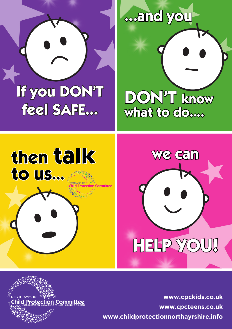

## **...and you ...and you**

**...and you**

**DON'T know DON'T know what to do....** 

**what to do....**

**what to do....**

**we can**

**we can we can**

**we can**

## **then talk** then t **then talk to us... then talk then talk to us... to us...**

**feel SAFE...**

**feel SAFE...**



## **HELP YOU! HELP YOU!**

**rotection Committee** 

www.cpckids.co.uk **www.cpcteens.co.uk www.childprotectionnorthayrshire.info When the office is closed: When the office is closed:** Work Service: 0800 328 7758  $\mathbf{A}$ Work Service: 0800 328 7758 ens.co.ul Social Work Ser: Poli ens.co.

**We can help yo**

**We can help yo**